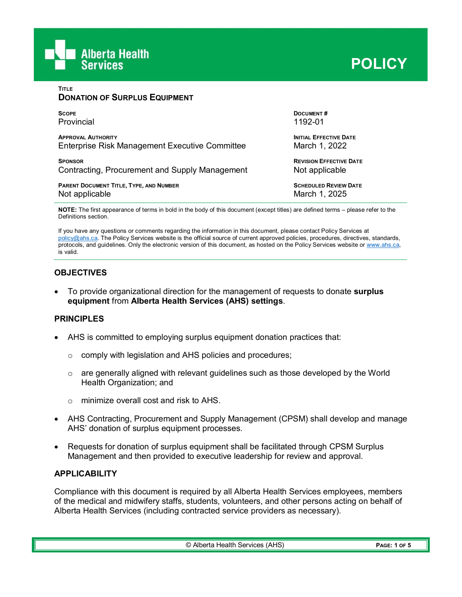

**DONATION OF SURPLUS EQUIPMENT**

**TITLE**

| <b>SCOPE</b>                                   | <b>DOCUMENT#</b>               |
|------------------------------------------------|--------------------------------|
| Provincial                                     | 1192-01                        |
| <b>APPROVAL AUTHORITY</b>                      | <b>INITIAL EFFECTIVE DATE</b>  |
| Enterprise Risk Management Executive Committee | March 1, 2022                  |
| <b>SPONSOR</b>                                 | <b>REVISION EFFECTIVE DATE</b> |
| Contracting, Procurement and Supply Management | Not applicable                 |
| PARENT DOCUMENT TITLE, TYPE, AND NUMBER        | <b>SCHEDULED REVIEW DATE</b>   |
| Not applicable                                 | March 1, 2025                  |

**NOTE:** The first appearance of terms in bold in the body of this document (except titles) are defined terms – please refer to the Definitions section.

If you have any questions or comments regarding the information in this document, please contact Policy Services at [policy@ahs.ca.](mailto:policy@ahs.ca) The Policy Services website is the official source of current approved policies, procedures, directives, standards, protocols, and guidelines. Only the electronic version of this document, as hosted on the Policy Services website or www.ahs.ca, is valid.

# **OBJECTIVES**

• To provide organizational direction for the management of requests to donate **surplus equipment** from **Alberta Health Services (AHS) settings**.

#### **PRINCIPLES**

- AHS is committed to employing surplus equipment donation practices that:
	- $\circ$  comply with legislation and AHS policies and procedures;
	- $\circ$  are generally aligned with relevant guidelines such as those developed by the World Health Organization; and
	- $\circ$  minimize overall cost and risk to AHS.
- AHS Contracting, Procurement and Supply Management (CPSM) shall develop and manage AHS' donation of surplus equipment processes.
- Requests for donation of surplus equipment shall be facilitated through CPSM Surplus Management and then provided to executive leadership for review and approval.

#### **APPLICABILITY**

Compliance with this document is required by all Alberta Health Services employees, members of the medical and midwifery staffs, students, volunteers, and other persons acting on behalf of Alberta Health Services (including contracted service providers as necessary).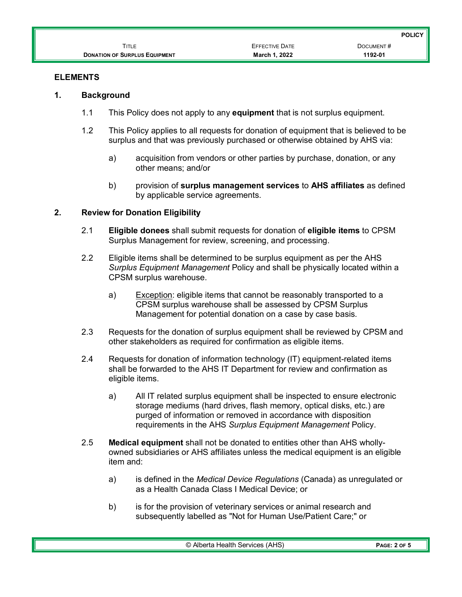|                                      |                       | <b>POLICY</b> |
|--------------------------------------|-----------------------|---------------|
| Title                                | <b>EFFECTIVE DATE</b> | DOCUMENT#     |
| <b>DONATION OF SURPLUS EQUIPMENT</b> | March 1, 2022         | 1192-01       |

# **ELEMENTS**

### **1. Background**

- 1.1 This Policy does not apply to any **equipment** that is not surplus equipment.
- 1.2 This Policy applies to all requests for donation of equipment that is believed to be surplus and that was previously purchased or otherwise obtained by AHS via:
	- a) acquisition from vendors or other parties by purchase, donation, or any other means; and/or
	- b) provision of **surplus management services** to **AHS affiliates** as defined by applicable service agreements.

# **2. Review for Donation Eligibility**

- 2.1 **Eligible donees** shall submit requests for donation of **eligible items** to CPSM Surplus Management for review, screening, and processing.
- 2.2 Eligible items shall be determined to be surplus equipment as per the AHS *Surplus Equipment Management* Policy and shall be physically located within a CPSM surplus warehouse.
	- a) Exception: eligible items that cannot be reasonably transported to a CPSM surplus warehouse shall be assessed by CPSM Surplus Management for potential donation on a case by case basis.
- 2.3 Requests for the donation of surplus equipment shall be reviewed by CPSM and other stakeholders as required for confirmation as eligible items.
- 2.4 Requests for donation of information technology (IT) equipment-related items shall be forwarded to the AHS IT Department for review and confirmation as eligible items.
	- a) All IT related surplus equipment shall be inspected to ensure electronic storage mediums (hard drives, flash memory, optical disks, etc.) are purged of information or removed in accordance with disposition requirements in the AHS *Surplus Equipment Management* Policy.
- 2.5 **Medical equipment** shall not be donated to entities other than AHS whollyowned subsidiaries or AHS affiliates unless the medical equipment is an eligible item and:
	- a) is defined in the *Medical Device Regulations* (Canada) as unregulated or as a Health Canada Class I Medical Device; or
	- b) is for the provision of veterinary services or animal research and subsequently labelled as "Not for Human Use/Patient Care;" or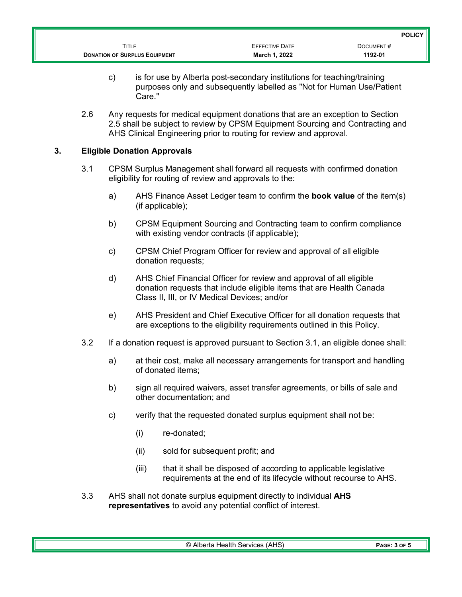|                                      |                       | <b>POLICY</b> |
|--------------------------------------|-----------------------|---------------|
| <b>FITLE</b>                         | <b>EFFECTIVE DATE</b> | DOCUMENT#     |
| <b>DONATION OF SURPLUS EQUIPMENT</b> | March 1, 2022         | 1192-01       |

- c) is for use by Alberta post-secondary institutions for teaching/training purposes only and subsequently labelled as "Not for Human Use/Patient Care."
- 2.6 Any requests for medical equipment donations that are an exception to Section 2.5 shall be subject to review by CPSM Equipment Sourcing and Contracting and AHS Clinical Engineering prior to routing for review and approval.

# **3. Eligible Donation Approvals**

- 3.1 CPSM Surplus Management shall forward all requests with confirmed donation eligibility for routing of review and approvals to the:
	- a) AHS Finance Asset Ledger team to confirm the **book value** of the item(s) (if applicable);
	- b) CPSM Equipment Sourcing and Contracting team to confirm compliance with existing vendor contracts (if applicable);
	- c) CPSM Chief Program Officer for review and approval of all eligible donation requests;
	- d) AHS Chief Financial Officer for review and approval of all eligible donation requests that include eligible items that are Health Canada Class II, III, or IV Medical Devices; and/or
	- e) AHS President and Chief Executive Officer for all donation requests that are exceptions to the eligibility requirements outlined in this Policy.
- 3.2 If a donation request is approved pursuant to Section 3.1, an eligible donee shall:
	- a) at their cost, make all necessary arrangements for transport and handling of donated items;
	- b) sign all required waivers, asset transfer agreements, or bills of sale and other documentation; and
	- c) verify that the requested donated surplus equipment shall not be:
		- (i) re-donated;
		- (ii) sold for subsequent profit; and
		- (iii) that it shall be disposed of according to applicable legislative requirements at the end of its lifecycle without recourse to AHS.
- 3.3 AHS shall not donate surplus equipment directly to individual **AHS representatives** to avoid any potential conflict of interest.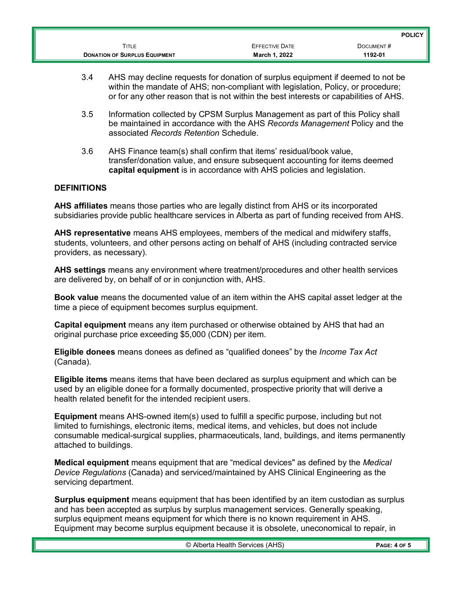|                                      |                       | <b>POLICY</b> |
|--------------------------------------|-----------------------|---------------|
| Title                                | <b>EFFECTIVE DATE</b> | DOCUMENT#     |
| <b>DONATION OF SURPLUS EQUIPMENT</b> | March 1, 2022         | 1192-01       |

- 3.4 AHS may decline requests for donation of surplus equipment if deemed to not be within the mandate of AHS; non-compliant with legislation, Policy, or procedure; or for any other reason that is not within the best interests or capabilities of AHS.
- 3.5 Information collected by CPSM Surplus Management as part of this Policy shall be maintained in accordance with the AHS *Records Management* Policy and the associated *Records Retention* Schedule.
- 3.6 AHS Finance team(s) shall confirm that items' residual/book value, transfer/donation value, and ensure subsequent accounting for items deemed **capital equipment** is in accordance with AHS policies and legislation.

### **DEFINITIONS**

**AHS affiliates** means those parties who are legally distinct from AHS or its incorporated subsidiaries provide public healthcare services in Alberta as part of funding received from AHS.

**AHS representative** means AHS employees, members of the medical and midwifery staffs, students, volunteers, and other persons acting on behalf of AHS (including contracted service providers, as necessary).

**AHS settings** means any environment where treatment/procedures and other health services are delivered by, on behalf of or in conjunction with, AHS.

**Book value** means the documented value of an item within the AHS capital asset ledger at the time a piece of equipment becomes surplus equipment.

**Capital equipment** means any item purchased or otherwise obtained by AHS that had an original purchase price exceeding \$5,000 (CDN) per item.

**Eligible donees** means donees as defined as "qualified donees" by the *Income Tax Act* (Canada).

**Eligible items** means items that have been declared as surplus equipment and which can be used by an eligible donee for a formally documented, prospective priority that will derive a health related benefit for the intended recipient users.

**Equipment** means AHS-owned item(s) used to fulfill a specific purpose, including but not limited to furnishings, electronic items, medical items, and vehicles, but does not include consumable medical-surgical supplies, pharmaceuticals, land, buildings, and items permanently attached to buildings.

**Medical equipment** means equipment that are "medical devices" as defined by the *Medical Device Regulations* (Canada) and serviced/maintained by AHS Clinical Engineering as the servicing department.

**Surplus equipment** means equipment that has been identified by an item custodian as surplus and has been accepted as surplus by surplus management services. Generally speaking, surplus equipment means equipment for which there is no known requirement in AHS. Equipment may become surplus equipment because it is obsolete, uneconomical to repair, in